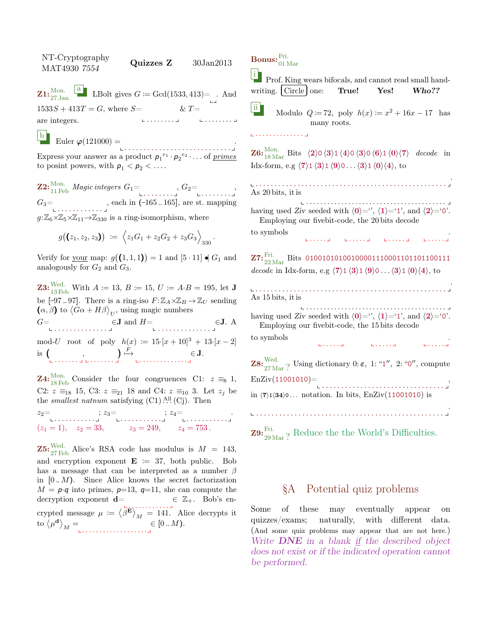NT-Cryptography  $N1$ <sup>- $\text{Crypograpny}$ </sup> Quizzes Z  $30\text{Jan}2013$  $\mathbf{Z1:}^{\mathrm{Mon.}}_{27 \mathrm{\, Jan}}$ **a** LBolt gives  $G \coloneqq \text{Gcd}(1533, 413) = .$  And  $1533S + 413T = G$ , where  $S=$ . . . . . . . . are integers. . . . . . . . .  $& T =$ 

b Euler  $\varphi(121000) =$ 

. . . . . . . . . . . . . . . . . . . . . . . . . . . . . Express your answer as a product  $p_1^{e_1} \cdot p_2^{e_2} \cdot \ldots$  of *primes* to posint powers, with  $p_1 < p_2 < \ldots$ .

 $\mathbf{Z2:}^{\mathrm{Mon.}}_{11\,\mathrm{Feb}}\,\mathit{Magic\,integers}\;G_1\mathbf{=}\ \mathbf{1:}\ \mathbf{1:}\ \mathbf{1:}\ \mathbf{1:}\ \mathbf{2:}\ \mathbf{2:}\ \mathbf{3:}\ \mathbf{4:}\ \mathbf{4:}\ \mathbf{4:}\ \mathbf{5:}\ \mathbf{4:}\ \mathbf{5:}\ \mathbf{5:}\ \mathbf{6:}\ \mathbf{6:}\ \mathbf{7:}\ \mathbf{8:}\ \mathbf{9:}\ \mathbf{1:}\ \mathbf{1:}\ \mathbf{1:}\ \mathbf{1:}\ \mathbf{1:}\ \mathbf{1:$  $G_3 = \n\begin{bmatrix}\n\ldots & \ldots & \ldots & \ldots\n\end{bmatrix}$ , each in (-165...165], are st. mapping  $g: \mathbb{Z}_6{\times}\mathbb{Z}_5{\times}\mathbb{Z}_{11}{\rightarrow}\mathbb{Z}_{330}$  is a ring-isomorphism, where

$$
g((z_1, z_2, z_3)) := \left\langle z_1G_1 + z_2G_2 + z_3G_3 \right\rangle_{330}.
$$

Verify for your map:  $g((1,1,1)) = 1$  and  $[5 \cdot 11] \bullet G_1$  and analogously for  $G_2$  and  $G_3$ .

**Z3:** Wed. With  $A := 13$ ,  $B := 15$ ,  $U := A \cdot B = 195$ , let **J** be  $[-97..97]$ . There is a ring-iso  $F: \mathbb{Z}_A \times \mathbb{Z}_B \to \mathbb{Z}_U$  sending  $(\alpha, \beta)$  to  $\langle G\alpha + H\beta \rangle_{U}$ , using magic numbers  $G = \bigcup_{\blacksquare \text{ } \square \text{ } \square \text{ } \square \text{ } \square \text{ } \square \text{ } \square \text{ } \square \text{ } \square \text{ } \square \text{ } \square \text{ } \square \text{ } \square$ mod-U root of poly  $h(x) := 15 \cdot [x + 10]^3 + 13 \cdot [x - 2]$  $is($  $E$ <sup>F</sup>

. . . . . . . , . . . . . . . . . . . . . . . . . . . . . ∈ J.

**Z4:**<sup>Mon.</sup> Consider the four congruences C1:  $z \equiv_8 1$ , C2:  $z \equiv_{18} 15$ , C3:  $z \equiv_{21} 18$  and C4:  $z \equiv_{10} 3$ . Let  $z_j$  be the *smallest natnum* satisfying  $(C1)$ .<sup>All</sup>  $(C<sub>j</sub>)$ . Then

 $z_2 = \n\begin{bmatrix}\nz_2 = \n\end{bmatrix}\n\begin{bmatrix}\nz_3 = \n\end{bmatrix}\n\begin{bmatrix}\nz_4 = \n\end{bmatrix}\n\begin{bmatrix}\nz_5 = \n\end{bmatrix}$  $(z_1 = 1), \quad z_2 = 33, \quad z_3 = 249, \quad z_4 = 753.$ 

**Z5:**  $\frac{\text{Wed.}}{27 \text{ Feb}}$  Alice's RSA code has modulus is  $M = 143$ , and encryption exponent  $\mathbf{E} := 37$ , both public. Bob has a message that can be interpreted as a number  $\beta$ in  $[0..M)$ . Since Alice knows the secret factorization  $M = p \cdot q$  into primes,  $p=13$ ,  $q=11$ , she can compute the decryption exponent  $\mathbf{d} = \mathbf{\epsilon} \ \mathbb{Z}_+$ . Bob's encrypted message  $\mu := \langle \beta^{\mathbf{E}} \rangle_M = 141$ . Alice decrypts it to  $\langle \mu^{\mathbf{d}} \rangle_M =$  $\in [0..M).$ 

 $\mathrm{{\bf Bonus:}}^{\mathrm{Fri.}}_{01\,\mathrm{Mar}}$ 

<sup>i</sup> Prof. King wears bifocals, and cannot read small hand-<br>
vriting. Circle one: True! Yes! Who?? writing. Circle

ii Modulo  $Q := 72$ , poly  $h(x) := x^2 + 16x - 17$  has many roots.

. . . . . . . . . . . . . .

**Z6:**  ${}_{18\,\text{Mar}}^{\text{Mon.}}$  Bits  $\langle 2 \rangle 0 \langle 3 \rangle 1 \langle 4 \rangle 0 \langle 3 \rangle 0 \langle 6 \rangle 1 \langle 0 \rangle \langle 7 \rangle$  decode in Idx-form, e.g  $\langle 7 \rangle$ 1  $\langle 3 \rangle$ 1  $\langle 9 \rangle$ 0 . . .  $\langle 3 \rangle$ 1  $\langle 0 \rangle$  $\langle 4 \rangle$ , to

. . . . . . . . . . . . . . . . . . . . . . . . . . . . . . . . . . . . . . . . . . . . . . . . . . . As 20 bits, it is . . . . . . . . . . . . . . . . . . . . . . . . . . . . . . . . . . . . . . . . having used Ziv seeded with  $\langle 0 \rangle =$ ",  $\langle 1 \rangle = 1$ ", and  $\langle 2 \rangle = 0$ ". Employing our fivebit-code, the 20 bits decode to symbols . . . . . . . . . . . . . . . . . . . . .  $\mathbf{Z7:}^{\mathrm{Fri.}}_{22\,\mathrm{Mar}}$  Bits 010010101001000001110001101101100111 decode in Idx-form, e.g  $\langle 7 \rangle$ 1  $\langle 3 \rangle$ 1  $\langle 9 \rangle$ 0 . . .  $\langle 3 \rangle$ 1  $\langle 0 \rangle$  $\langle 4 \rangle$ , to . . . . . . . . . . . . . . . . . . . . . . . . . . . . . . . . . . . . . . . . . . . . . . . . . . . As 15 bits, it is . . . . . . . . . . . . . . . . . . . . . . . . . . . . . . . . . . . . . . . . having used Ziv seeded with  $\langle 0 \rangle =$ ",  $\langle 1 \rangle = 1$ ", and  $\langle 2 \rangle = 0$ ". Employing our fivebit-code, the 15 bits decode to symbols . . . . . . . . . . . . . . . . **Z8:**  $\frac{\text{Wed.}}{27 \text{ Mar}}$ ? Using dictionary 0:  $\varepsilon$ , 1: "1", 2: "0", compute  $EnZiv(11001010)=$ . . . . . . . . . . . . . . . . . . . . . . . . . . . . . . . . , in  $\langle 7 \rangle$ 1 $\langle 34 \rangle$ 0 . . . notation. In bits, EnZiv $(11001010)$  is . . . . . . . . . . . . . . . . . . . . . . . . . . . . . . . . . . . . . . . . . . . . . . . . . .

**Z9:**  $_{29 \text{Mar}}^{\text{Fri.}}$ ? Reduce the the World's Difficulties.

## §A Potential quiz problems

Some of these may eventually appear on quizzes/exams; naturally, with different data. (And some quiz problems may appear that are not here.) Write **DNE** in a blank if the described object does not exist or if the indicated operation cannot be performed.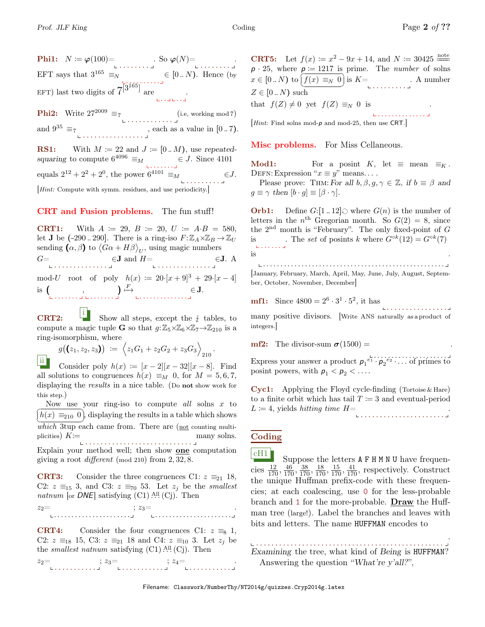Phi1: N := ϕ(100)= . . . . . . . . . So ϕ(N)= . . . . . . . . . EFT says that  $3^{165} \equiv_N$ . <u>. . .</u> . . . . . .  $\in [0..N)$ . Hence (by EFT) last two digits of  $7^{3^{165}}$  are .<br>. . . . . . . . **Phi2:** Write  $27^{2009} \equiv 7$  (i.e, working mod 7) and  $9^{35} \equiv_7$ . . . . . . . . . . . . . . . . , each as a value in [0 .. 7). **RS1:** With  $M \coloneqq 22$  and  $J \coloneqq [0..M)$ , use repeated-

squaring to compute  $6^{4096} \equiv_M$   $\in J$ . Since 4101 equals  $2^{12} + 2^2 + 2^0$ , the power  $6^{4101} \equiv_M$ . . . . . . . . .  $\in J$ .

[Hint: Compute with symm. residues, and use periodicity.]

## CRT and Fusion problems. The fun stuff!

**CRT1:** With  $A := 29$ ,  $B := 20$ ,  $U := A \cdot B = 580$ , let **J** be  $(-290..290]$ . There is a ring-iso  $F: \mathbb{Z}_A \times \mathbb{Z}_B \to \mathbb{Z}_U$ sending  $(\alpha, \beta)$  to  $\langle G\alpha + H\beta \rangle_{U}$ , using magic numbers  $G=$  $\in$ **J** and  $H=$   $\in$ **J**. A mod-U root of poly  $h(x) := 20 \cdot [x+9]^3 + 29 \cdot [x-4]$ is  $\left(\begin{array}{c} 0 & 0 \\ 0 & 0 \end{array}\right)$  $\big) \stackrel{F}{\longmapsto}$ . . . . . . . . . . . . . . ∈ J.

CRT2: i Show all steps, except the  $\frac{1}{2}$  tables, to compute a magic tuple **G** so that  $q: \mathbb{Z}_5 \times \mathbb{Z}_6 \times \mathbb{Z}_7 \rightarrow \mathbb{Z}_{210}$  is a ring-isomorphism, where

$$
g((z_1, z_2, z_3)) := \left\langle z_1G_1 + z_2G_2 + z_3G_3 \right\rangle_{210}.
$$

ii Consider poly  $h(x) := [x-2][x-32][x-8]$ . Find all solutions to congruences  $h(x) \equiv_M 0$ , for  $M = 5, 6, 7$ , displaying the results in a nice table. (Do not show work for this step.)

Now use your ring-iso to compute all solns  $x$  to  $\frac{(1)}{which$  3tup each came from. There are (<u>not</u> counting multi $h(x) \equiv_{210} 0$ , displaying the results in a table which shows plicities)  $K =$ . . . . . . . . . . . . . . . . . . . . . . . . . . . . many solns.

Explain your method well; then show **one** computation giving a root *different* (mod 210) from  $2, 32, 8$ .

**CRT3:** Consider the three congruences C1:  $z \equiv_{21} 18$ , C2:  $z \equiv_{15} 3$ , and C3:  $z \equiv_{70} 53$ . Let  $z_j$  be the *smallest* natnum [or  $DNE$ ] satisfying  $(C1)$  .<sup>All</sup>  $(Cj)$ . Then

 $z_2=$ . . . . . . . . . . . . . . . . . . . . . . . . . . . . . . . . . . . . . . . . . . . .  $\therefore z_3 =$ .

**CRT4:** Consider the four congruences C1:  $z \equiv_8 1$ , C2:  $z \equiv_{18} 15$ , C3:  $z \equiv_{21} 18$  and C4:  $z \equiv_{10} 3$ . Let  $z_i$  be the *smallest natnum* satisfying  $(C1)$ .<sup>All</sup>  $(C<sub>j</sub>)$ . Then

 $z_2 = \n\begin{bmatrix}\nz_2 = \n\end{bmatrix}\n\begin{bmatrix}\nz_3 = \n\end{bmatrix}\n\begin{bmatrix}\nz_4 = \n\end{bmatrix}\n\begin{bmatrix}\nz_5 = \n\end{bmatrix}\n\begin{bmatrix}\nz_6 = \n\end{bmatrix}\n\begin{bmatrix}\nz_7 = \n\end{bmatrix}\n\begin{bmatrix}\nz_8 = \n\end{bmatrix}\n\begin{bmatrix}\nz_7 = \n\end{bmatrix}\n\begin{bmatrix}\nz_8 = \n\end{bmatrix}\n\begin{bmatrix}\nz_7 = \n\end{bmatrix}\n\begin{bmatrix}\nz_8 = \n\end{bmatrix}\n\begin{bmatrix$ 

**CRT5:** Let  $f(x) := x^2 - 9x + 14$ , and  $N := 30425 \frac{\text{note}}{100}$  $p \cdot 25$ , where  $p \coloneqq 1217$  is prime. The *number* of solns  $x \in [0..N)$  to  $\overline{f}$ ✝ ۲.<br>م ✆ f(x) ≡<sup>N</sup> 0 is K= . . . . . . . . . . A number  $Z \in [0..N)$  such that  $f(Z) \neq 0$  yet  $f(Z) \equiv_N 0$  is .

[Hint: Find solns mod-p and mod-25, then use CRT.]

Misc problems. For Miss Cellaneous.

Mod1: For a posint K, let  $\equiv$  mean  $\equiv_K$ . DEFN: Expression " $x \equiv y$ " means....

Please prove: THM: For all  $b, \beta, g, \gamma \in \mathbb{Z}$ , if  $b \equiv \beta$  and  $g \equiv \gamma \text{ then } [b \cdot g] \equiv [\beta \cdot \gamma].$ 

**Orb1:** Define  $G:[1..12] \odot$  where  $G(n)$  is the number of letters in the  $n^{\text{th}}$  Gregorian month. So  $G(2) = 8$ , since the  $2<sup>nd</sup>$  month is "February". The only fixed-point of G is The set of posints k where  $G^{\circ k}(12) = G^{\circ k}(7)$  $\mathbf{L}$  . . . . . . . is .

. . . . . . . . . . . . . . . . . . . . . . . . . . . . . . . . . . . . . . . . . . . . . . . . . . . . [January, February, March, April, May, June, July, August, September, October, November, December]

**mf1:** Since 
$$
4800 = 2^6 \cdot 3^1 \cdot 5^2
$$
, it has

many positive divisors. [Write ANS naturally as a product of integers.]

mf2: The divisor-sum  $\sigma(1500) =$ 

Express your answer a product  $p_1^{\ell_1} \cdots p_2^{\ell_2} \cdots$  of primes to posint powers, with  $p_1 < p_2 < \ldots$ .

Cyc1: Applying the Floyd cycle-finding (Tortoise & Hare) to a finite orbit which has tail  $T = 3$  and eventual-period  $L \coloneqq 4$ , yields *hitting time*  $H=$ . . . . . . . . . . . . . . . . . . . . . . .

## Coding

 $CH1$  Suppose the letters  $A$  F H M N U have frequencies  $\frac{12}{170}$ ,  $\frac{46}{170}$ ,  $\frac{38}{170}$ ,  $\frac{18}{170}$ ,  $\frac{15}{170}$ ,  $\frac{41}{170}$ , respectively. Construct the unique Huffman prefix-code with these frequencies; at each coalescing, use 0 for the less-probable branch and 1 for the more-probable. Draw the Huffman tree (large!). Label the branches and leaves with bits and letters. The name HUFFMAN encodes to

. . . . . . . . . . . . . . . . . . . . . . . . . . . . . . . . . . . . . . . . . . . . . . . . . Examining the tree, what kind of Being is HUFFMAN? Answering the question "What're y'all?",

. . . . . . . . . . . . . .

. . . . . . . . . . . . . . . .

.

.